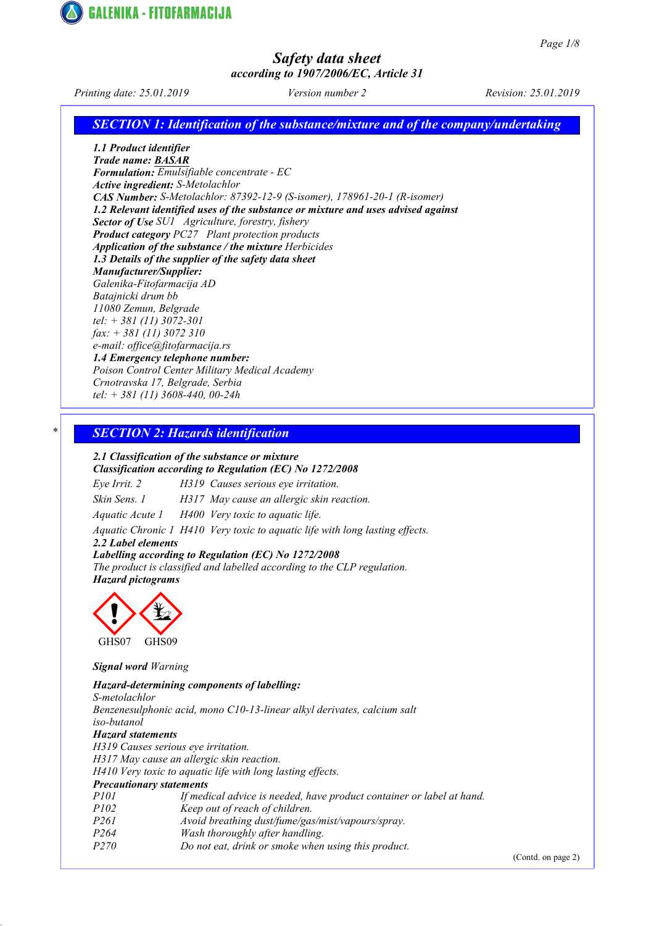

Printing date: 25.01.2019 Version number 2 Revision: 25.01.2019

**GALENIKA - FITOFARMACIJA** 

SECTION 1: Identification of the substance/mixture and of the company/undertaking

1.1 Product identifier Trade name: BASAR Formulation: Emulsifiable concentrate - EC Active ingredient: S-Metolachlor CAS Number: S-Metolachlor: 87392-12-9 (S-isomer), 178961-20-1 (R-isomer) 1.2 Relevant identified uses of the substance or mixture and uses advised against Sector of Use SU1 Agriculture, forestry, fishery Product category PC27 Plant protection products Application of the substance / the mixture Herbicides 1.3 Details of the supplier of the safety data sheet Manufacturer/Supplier: Galenika-Fitofarmacija AD Batajnicki drum bb 11080 Zemun, Belgrade tel: + 381 (11) 3072-301 fax: + 381 (11) 3072 310 e-mail: office@fitofarmacija.rs 1.4 Emergency telephone number: Poison Control Center Military Medical Academy Crnotravska 17, Belgrade, Serbia

tel: + 381 (11) 3608-440, 00-24h

### **SECTION 2: Hazards identification**

2.1 Classification of the substance or mixture Classification according to Regulation (EC) No 1272/2008

Eye Irrit. 2 H319 Causes serious eye irritation.

Skin Sens. 1 H317 May cause an allergic skin reaction.

Aquatic Acute 1 H400 Very toxic to aquatic life.

Aquatic Chronic 1 H410 Very toxic to aquatic life with long lasting effects.

2.2 Label elements

### Labelling according to Regulation (EC) No 1272/2008

The product is classified and labelled according to the CLP regulation. Hazard pictograms



### Signal word Warning

Hazard-determining components of labelling: S-metolachlor Benzenesulphonic acid, mono C10-13-linear alkyl derivates, calcium salt iso-butanol Hazard statements H319 Causes serious eye irritation. H317 May cause an allergic skin reaction. H410 Very toxic to aquatic life with long lasting effects. Precautionary statements P101 If medical advice is needed, have product container or label at hand. P102 Keep out of reach of children. P261 Avoid breathing dust/fume/gas/mist/vapours/spray. P264 Wash thoroughly after handling. P270 Do not eat, drink or smoke when using this product.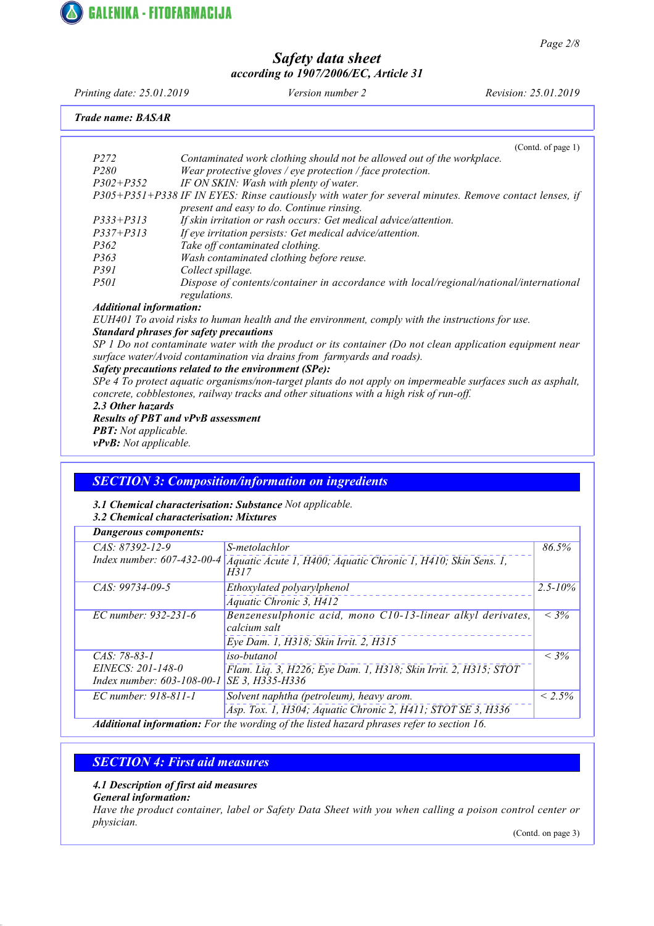

Page 2/8

## Safety data sheet according to 1907/2006/EC, Article 31

Printing date: 25.01.2019 Version number 2 Revision: 25.01.2019 Trade name: BASAR (Contd. of page 1) P272 Contaminated work clothing should not be allowed out of the workplace. P280 Wear protective gloves / eye protection / face protection. P302+P352 IF ON SKIN: Wash with plenty of water. P305+P351+P338 IF IN EYES: Rinse cautiously with water for several minutes. Remove contact lenses, if present and easy to do. Continue rinsing. P333+P313 If skin irritation or rash occurs: Get medical advice/attention. P337+P313 If eye irritation persists: Get medical advice/attention. P362 Take off contaminated clothing. P363 Wash contaminated clothing before reuse.<br>P391 Collect spillage. P391 Collect spillage.<br>P501 Dispose of cont Dispose of contents/container in accordance with local/regional/national/international regulations. Additional information: EUH401 To avoid risks to human health and the environment, comply with the instructions for use. Standard phrases for safety precautions SP 1 Do not contaminate water with the product or its container (Do not clean application equipment near surface water/Avoid contamination via drains from farmyards and roads). Safety precautions related to the environment (SPe): SPe 4 To protect aquatic organisms/non-target plants do not apply on impermeable surfaces such as asphalt, concrete, cobblestones, railway tracks and other situations with a high risk of run-off. 2.3 Other hazards Results of PBT and vPvB assessment **PBT:** Not applicable. vPvB: Not applicable.

### SECTION 3: Composition/information on ingredients

### 3.1 Chemical characterisation: Substance Not applicable. 3.2 Chemical characterisation: Mixtures

| <b>Dangerous components:</b>                            |                                                                                           |              |
|---------------------------------------------------------|-------------------------------------------------------------------------------------------|--------------|
| $CAS: 87392 - 12 - 9$                                   | S-metolachlor                                                                             | 86.5%        |
| Index number: 607-432-00-4                              | Aquatic Acute 1, H400; Aquatic Chronic 1, H410; Skin Sens. 1,<br>H317                     |              |
| CAS: 99734-09-5                                         | Ethoxylated polyarylphenol                                                                | $2.5 - 10\%$ |
|                                                         | Aquatic Chronic 3, H412                                                                   |              |
| EC number: 932-231-6                                    | Benzenesulphonic acid, mono C10-13-linear alkyl derivates,<br>calcium salt                | $< 3\%$      |
|                                                         | Eye Dam. 1, H318; Skin Irrit. 2, H315                                                     |              |
| $CAS: 78-83-1$                                          | iso-butanol                                                                               | $< 3\%$      |
| EINECS: 201-148-0<br>Index number: $603 - 108 - 00 - 1$ | Flam. Liq. 3, H226; Eye Dam. 1, H318; Skin Irrit. 2, H315; STOT<br>SE 3. H335-H336        |              |
| EC number: 918-811-1                                    | Solvent naphtha (petroleum), heavy arom.                                                  | $< 2.5\%$    |
|                                                         | Asp. Tox. 1, H304; Aquatic Chronic 2, H411; STOT SE 3, H336                               |              |
|                                                         | Additional information: For the wording of the listed hazard phrases refer to section 16. |              |

### SECTION 4: First aid measures

### 4.1 Description of first aid measures

General information:

Have the product container, label or Safety Data Sheet with you when calling a poison control center or physician.

(Contd. on page 3)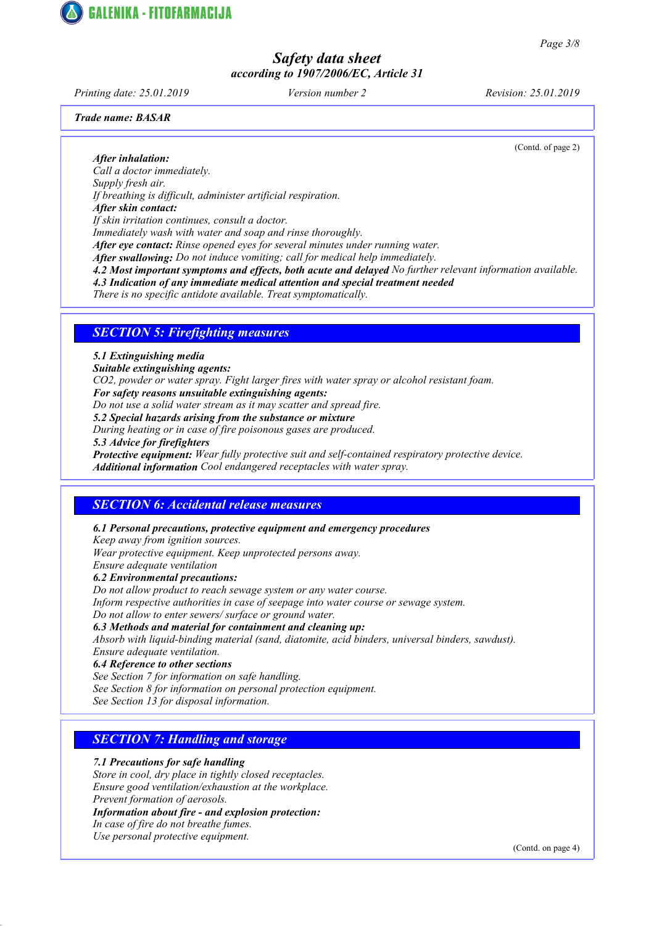Printing date: 25.01.2019 Version number 2 Revision: 25.01.2019

**GALENIKA - FITOFARMACIJA** 

Trade name: BASAR

(Contd. of page 2)

After inhalation: Call a doctor immediately. Supply fresh air. If breathing is difficult, administer artificial respiration. After skin contact: If skin irritation continues, consult a doctor. Immediately wash with water and soap and rinse thoroughly. After eye contact: Rinse opened eyes for several minutes under running water. After swallowing: Do not induce vomiting; call for medical help immediately. 4.2 Most important symptoms and effects, both acute and delayed No further relevant information available.

4.3 Indication of any immediate medical attention and special treatment needed

There is no specific antidote available. Treat symptomatically.

### **SECTION 5: Firefighting measures**

### 5.1 Extinguishing media

Suitable extinguishing agents:

CO2, powder or water spray. Fight larger fires with water spray or alcohol resistant foam.

For safety reasons unsuitable extinguishing agents:

Do not use a solid water stream as it may scatter and spread fire.

5.2 Special hazards arising from the substance or mixture

During heating or in case of fire poisonous gases are produced.

5.3 Advice for firefighters

Protective equipment: Wear fully protective suit and self-contained respiratory protective device. Additional information Cool endangered receptacles with water spray.

### SECTION 6: Accidental release measures

6.1 Personal precautions, protective equipment and emergency procedures

Keep away from ignition sources.

Wear protective equipment. Keep unprotected persons away.

Ensure adequate ventilation

### 6.2 Environmental precautions:

Do not allow product to reach sewage system or any water course. Inform respective authorities in case of seepage into water course or sewage system. Do not allow to enter sewers/ surface or ground water.

### 6.3 Methods and material for containment and cleaning up:

Absorb with liquid-binding material (sand, diatomite, acid binders, universal binders, sawdust). Ensure adequate ventilation.

#### 6.4 Reference to other sections

See Section 7 for information on safe handling.

See Section 8 for information on personal protection equipment.

See Section 13 for disposal information.

## **SECTION 7: Handling and storage**

7.1 Precautions for safe handling

Store in cool, dry place in tightly closed receptacles. Ensure good ventilation/exhaustion at the workplace.

Prevent formation of aerosols.

Information about fire - and explosion protection:

In case of fire do not breathe fumes.

Use personal protective equipment.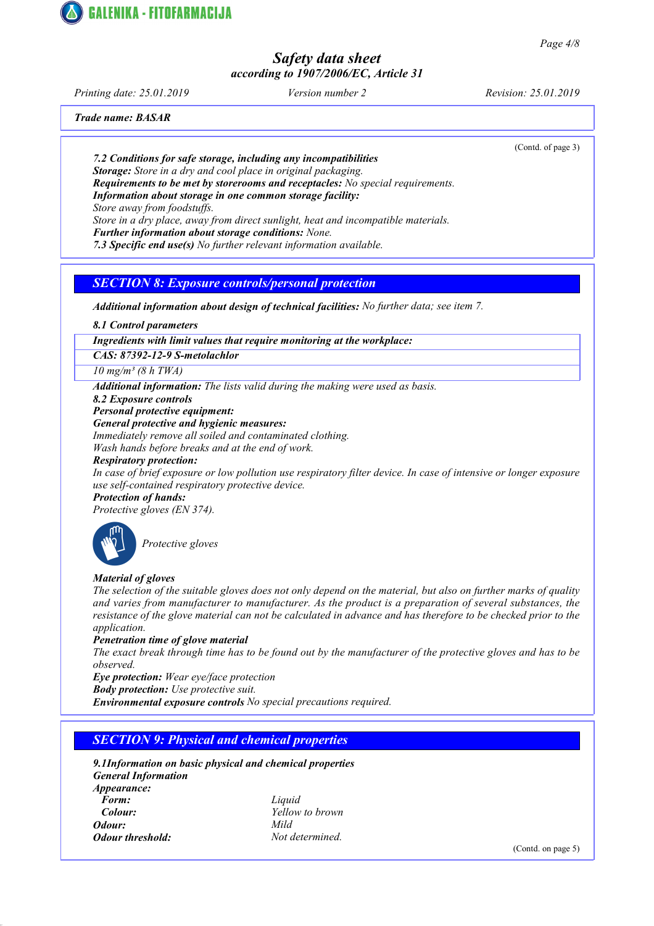Printing date: 25.01.2019 Version number 2 Revision: 25.01.2019

(Contd. of page 3)

Trade name: BASAR

7.2 Conditions for safe storage, including any incompatibilities

Storage: Store in a dry and cool place in original packaging.

Requirements to be met by storerooms and receptacles: No special requirements.

Information about storage in one common storage facility:

Store away from foodstuffs.

**GALENIKA - FITOFARMACIJA** 

Store in a dry place, away from direct sunlight, heat and incompatible materials.

Further information about storage conditions: None.

7.3 Specific end use(s) No further relevant information available.

## SECTION 8: Exposure controls/personal protection

Additional information about design of technical facilities: No further data; see item 7.

8.1 Control parameters

Ingredients with limit values that require monitoring at the workplace:

### CAS: 87392-12-9 S-metolachlor

 $10$  mg/m<sup>3</sup> (8 h TWA)

Additional information: The lists valid during the making were used as basis.

8.2 Exposure controls

Personal protective equipment:

General protective and hygienic measures:

Immediately remove all soiled and contaminated clothing.

Wash hands before breaks and at the end of work.

### Respiratory protection:

In case of brief exposure or low pollution use respiratory filter device. In case of intensive or longer exposure use self-contained respiratory protective device.

# Protection of hands:

Protective gloves (EN 374).



Protective gloves

## Material of gloves

The selection of the suitable gloves does not only depend on the material, but also on further marks of quality and varies from manufacturer to manufacturer. As the product is a preparation of several substances, the resistance of the glove material can not be calculated in advance and has therefore to be checked prior to the application.

### Penetration time of glove material

The exact break through time has to be found out by the manufacturer of the protective gloves and has to be observed.

Eye protection: Wear eye/face protection

**Body protection:** Use protective suit.

Environmental exposure controls No special precautions required.

## **SECTION 9: Physical and chemical properties**

9.1Information on basic physical and chemical properties General Information Appearance: Form: Liquid Colour: Yellow to brown Odour: Mild **Odour threshold:** Not determined.

(Contd. on page 5)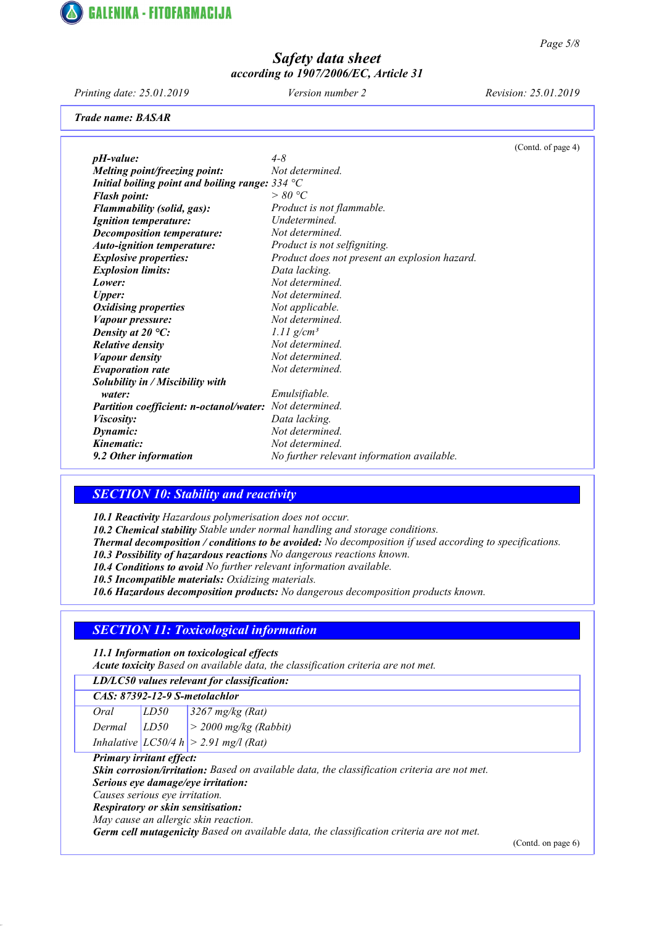

Printing date: 25.01.2019 Version number 2 Revision: 25.01.2019

Trade name: BASAR

|                                                   |                                               | (Contd. of page 4) |
|---------------------------------------------------|-----------------------------------------------|--------------------|
| $pH$ -value:                                      | $4 - 8$                                       |                    |
| Melting point/freezing point:                     | Not determined.                               |                    |
| Initial boiling point and boiling range: $334 °C$ |                                               |                    |
| <b>Flash point:</b>                               | > 80 °C                                       |                    |
| Flammability (solid, gas):                        | Product is not flammable.                     |                    |
| <b>Ignition temperature:</b>                      | Undetermined.                                 |                    |
| Decomposition temperature:                        | Not determined.                               |                    |
| <b>Auto-ignition temperature:</b>                 | Product is not selfigniting.                  |                    |
| <b>Explosive properties:</b>                      | Product does not present an explosion hazard. |                    |
| <b>Explosion limits:</b>                          | Data lacking.                                 |                    |
| Lower:                                            | Not determined.                               |                    |
| <b>Upper:</b>                                     | Not determined.                               |                    |
| <b>Oxidising properties</b>                       | Not applicable.                               |                    |
| Vapour pressure:                                  | Not determined.                               |                    |
| Density at $20^{\circ}$ C:                        | $1.11$ g/cm <sup>3</sup>                      |                    |
| <b>Relative density</b>                           | Not determined.                               |                    |
| <b>Vapour density</b>                             | Not determined.                               |                    |
| <b>Evaporation rate</b>                           | Not determined.                               |                    |
| Solubility in / Miscibility with                  |                                               |                    |
| water:                                            | Emulsifiable.                                 |                    |
| <b>Partition coefficient: n-octanol/water:</b>    | Not determined.                               |                    |
| <i>Viscosity:</i>                                 | Data lacking.                                 |                    |
| Dynamic:                                          | Not determined.                               |                    |
| Kinematic:                                        | Not determined.                               |                    |
| 9.2 Other information                             | No further relevant information available.    |                    |

### **SECTION 10: Stability and reactivity**

10.1 Reactivity Hazardous polymerisation does not occur.

10.2 Chemical stability Stable under normal handling and storage conditions.

Thermal decomposition / conditions to be avoided: No decomposition if used according to specifications.

10.3 Possibility of hazardous reactions No dangerous reactions known.

10.4 Conditions to avoid No further relevant information available.

10.5 Incompatible materials: Oxidizing materials.

10.6 Hazardous decomposition products: No dangerous decomposition products known.

## **SECTION 11: Toxicological information**

11.1 Information on toxicological effects

Acute toxicity Based on available data, the classification criteria are not met.

### CAS: 87392-12-9 S-metolachlor

Oral LD50 3267 mg/kg (Rat) Dermal  $LD50$  > 2000 mg/kg (Rabbit)

Inhalative  $|LC50/4 h| > 2.91$  mg/l (Rat)

Primary irritant effect:

Skin corrosion/irritation: Based on available data, the classification criteria are not met.

Serious eye damage/eye irritation:

Causes serious eye irritation. Respiratory or skin sensitisation:

May cause an allergic skin reaction.

Germ cell mutagenicity Based on available data, the classification criteria are not met.

(Contd. on page 6)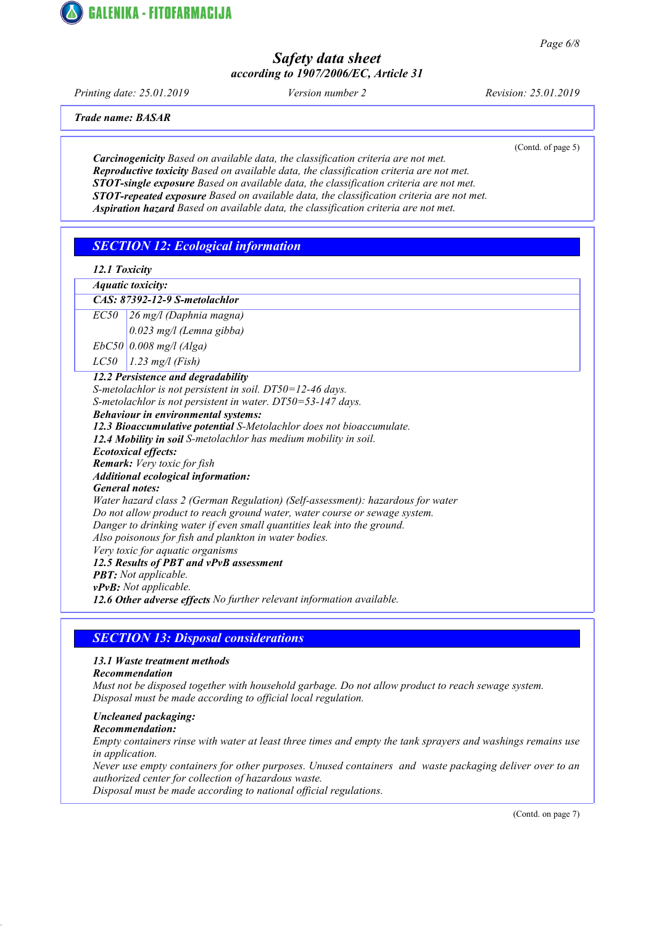

Page 6/8

## Safety data sheet according to 1907/2006/EC, Article 31

Printing date: 25.01.2019 Version number 2 Revision: 25.01.2019

Trade name: BASAR

(Contd. of page 5)

Carcinogenicity Based on available data, the classification criteria are not met. Reproductive toxicity Based on available data, the classification criteria are not met. STOT-single exposure Based on available data, the classification criteria are not met. STOT-repeated exposure Based on available data, the classification criteria are not met. Aspiration hazard Based on available data, the classification criteria are not met.

# SECTION 12: Ecological information

| 12.1 Toxicity |
|---------------|
|               |

Aquatic toxicity: CAS: 87392-12-9 S-metolachlor EC50 26 mg/l (Daphnia magna) 0.023 mg/l (Lemna gibba)  $EbC50$  0.008 mg/l (Alga)  $LC50$  | 1.23 mg/l (Fish) 12.2 Persistence and degradability S-metolachlor is not persistent in soil. DT50=12-46 days. S-metolachlor is not persistent in water. DT50=53-147 days. Behaviour in environmental systems: 12.3 Bioaccumulative potential S-Metolachlor does not bioaccumulate. 12.4 Mobility in soil S-metolachlor has medium mobility in soil. Ecotoxical effects: Remark: Very toxic for fish Additional ecological information: General notes: Water hazard class 2 (German Regulation) (Self-assessment): hazardous for water Do not allow product to reach ground water, water course or sewage system. Danger to drinking water if even small quantities leak into the ground. Also poisonous for fish and plankton in water bodies. Very toxic for aquatic organisms 12.5 Results of PBT and vPvB assessment **PBT:** Not applicable. vPvB: Not applicable. 12.6 Other adverse effects No further relevant information available.

## **SECTION 13: Disposal considerations**

### 13.1 Waste treatment methods

### Recommendation

Must not be disposed together with household garbage. Do not allow product to reach sewage system. Disposal must be made according to official local regulation.

## Uncleaned packaging:

Recommendation:

Empty containers rinse with water at least three times and empty the tank sprayers and washings remains use in application.

Never use empty containers for other purposes. Unused containers and waste packaging deliver over to an authorized center for collection of hazardous waste.

Disposal must be made according to national official regulations.

(Contd. on page 7)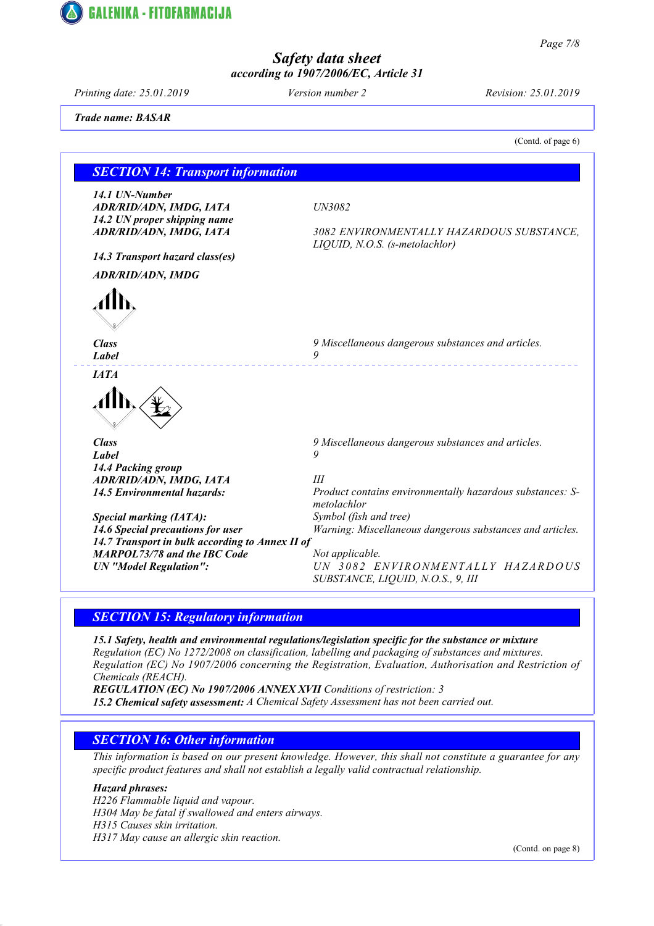

Page 7/8

## Safety data sheet according to 1907/2006/EC, Article 31

Printing date: 25.01.2019 Version number 2 Revision: 25.01.2019

Trade name: BASAR

|                                                         | (Contd. of page 6)                                                          |  |
|---------------------------------------------------------|-----------------------------------------------------------------------------|--|
| <b>SECTION 14: Transport information</b>                |                                                                             |  |
|                                                         |                                                                             |  |
| 14.1 UN-Number<br>ADR/RID/ADN, IMDG, IATA               | UN3082                                                                      |  |
| 14.2 UN proper shipping name<br>ADR/RID/ADN, IMDG, IATA | 3082 ENVIRONMENTALLY HAZARDOUS SUBSTANCE,<br>LIQUID, N.O.S. (s-metolachlor) |  |
| 14.3 Transport hazard class(es)                         |                                                                             |  |
| <b>ADR/RID/ADN, IMDG</b>                                |                                                                             |  |
|                                                         |                                                                             |  |
| <b>Class</b><br>Label                                   | 9 Miscellaneous dangerous substances and articles.<br>9                     |  |
| IATA                                                    |                                                                             |  |
|                                                         |                                                                             |  |
| <b>Class</b>                                            | 9 Miscellaneous dangerous substances and articles.                          |  |
| Label                                                   | 9                                                                           |  |
| 14.4 Packing group                                      |                                                                             |  |
| ADR/RID/ADN, IMDG, IATA                                 | Ш                                                                           |  |
| <b>14.5 Environmental hazards:</b>                      | Product contains environmentally hazardous substances: S-<br>metolachlor    |  |
| <b>Special marking (IATA):</b>                          | Symbol (fish and tree)                                                      |  |
| 14.6 Special precautions for user                       | Warning: Miscellaneous dangerous substances and articles.                   |  |
| 14.7 Transport in bulk according to Annex II of         |                                                                             |  |
| <b>MARPOL73/78 and the IBC Code</b>                     | Not applicable.                                                             |  |
| <b>UN</b> "Model Regulation":                           | UN 3082 ENVIRONMENTALLY HAZARDOUS<br>SUBSTANCE, LIQUID, N.O.S., 9, III      |  |

## SECTION 15: Regulatory information

15.1 Safety, health and environmental regulations/legislation specific for the substance or mixture Regulation (EC) No 1272/2008 on classification, labelling and packaging of substances and mixtures. Regulation (EC) No 1907/2006 concerning the Registration, Evaluation, Authorisation and Restriction of Chemicals (REACH).

REGULATION (EC) No 1907/2006 ANNEX XVII Conditions of restriction: 3 15.2 Chemical safety assessment: A Chemical Safety Assessment has not been carried out.

# **SECTION 16: Other information**

This information is based on our present knowledge. However, this shall not constitute a guarantee for any specific product features and shall not establish a legally valid contractual relationship.

### Hazard phrases:

H226 Flammable liquid and vapour. H304 May be fatal if swallowed and enters airways. H315 Causes skin irritation. H317 May cause an allergic skin reaction.

(Contd. on page 8)